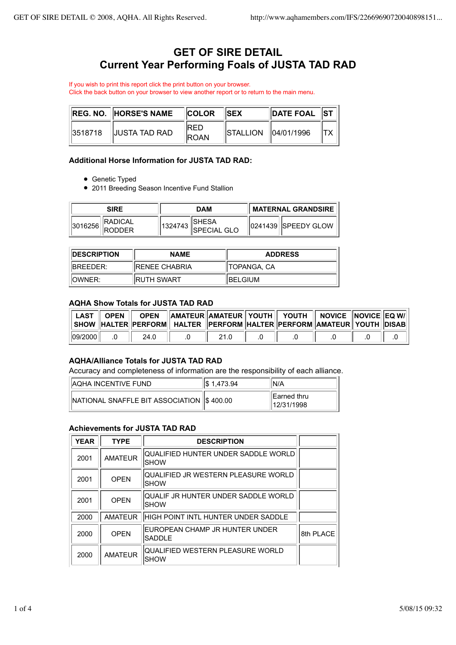# **GET OF SIRE DETAIL Current Year Performing Foals of JUSTA TAD RAD**

If you wish to print this report click the print button on your browser. Click the back button on your browser to view another report or to return to the main menu.

|         | <b>REG. NO. HORSE'S NAME</b> | <b>COLOR</b>                | <b>ISEX</b>                                 | <b>DATE FOAL ST I.</b> |  |
|---------|------------------------------|-----------------------------|---------------------------------------------|------------------------|--|
| 3518718 | IJUSTA TAD RAD               | <b>IRED</b><br><b>IROAN</b> | $\textsf{ISTALLION}$ $\textsf{104/01/1996}$ |                        |  |

### **Additional Horse Information for JUSTA TAD RAD:**

- **•** Genetic Typed
- 2011 Breeding Season Incentive Fund Stallion

| SIRF                                         | DAM                                             | I MATERNAL GRANDSIRE  |
|----------------------------------------------|-------------------------------------------------|-----------------------|
| <b>IRADICAL</b><br>3016256<br><b>IRODDFR</b> | <b>ISHESA</b><br>1324743<br><b>ISPECIAL GLO</b> | 10241439 ISPEEDY GLOW |

| <b>IDESCRIPTION</b><br><b>NAME</b> |                    | <b>ADDRESS</b>     |
|------------------------------------|--------------------|--------------------|
| 'IBREEDER:                         | IRENEE CHABRIA     | <b>TOPANGA, CA</b> |
| IOWNER:                            | <b>IRUTH SWART</b> | IBELGIUM           |

### **AQHA Show Totals for JUSTA TAD RAD**

| LAST    OPEN |            | <b>OPEN</b><br>SHOW HALTER PERFORM HALTER PERFORM HALTER PERFORM AMATEUR YOUTH DISAB | $  $ AMATEUR $  $ AMATEUR $  $ YOUTH $  $ YOUTH $  $ NOVICE $  $ NOVICE $  $ EQ W/ |  |  |  |
|--------------|------------|--------------------------------------------------------------------------------------|------------------------------------------------------------------------------------|--|--|--|
| 109/2000     | $\cdot$ .0 | 24.0                                                                                 | 21.0                                                                               |  |  |  |

### **AQHA/Alliance Totals for JUSTA TAD RAD**

Accuracy and completeness of information are the responsibility of each alliance.

| IAQHA INCENTIVE FUND                      | <b>S</b> 1,473.94 | ''N/A                             |
|-------------------------------------------|-------------------|-----------------------------------|
| NATIONAL SNAFFLE BIT ASSOCIATION \$400.00 |                   | <b>IEarned thru</b><br>12/31/1998 |

### **Achievements for JUSTA TAD RAD**

| <b>YEAR</b> | <b>TYPE</b>    | <b>DESCRIPTION</b>                                         |           |
|-------------|----------------|------------------------------------------------------------|-----------|
| 2001        | <b>AMATEUR</b> | <b>OUALIFIED HUNTER UNDER SADDLE WORLD</b><br>ISHOW        |           |
| 2001        | OPFN           | IQUALIFIED JR WESTERN PLEASURE WORLD<br><b>ISHOW</b>       |           |
| 2001        | OPFN           | <b>QUALIF JR HUNTER UNDER SADDLE WORLD</b><br><b>ISHOW</b> |           |
| 2000        | <b>AMATEUR</b> | HIGH POINT INTL HUNTER UNDER SADDLE                        |           |
| 2000        | OPFN           | IEUROPEAN CHAMP JR HUNTER UNDER<br><b>SADDLE</b>           | 8th PLACE |
| 2000        | <b>AMATEUR</b> | <b>IQUALIFIED WESTERN PLEASURE WORLD</b><br>ISHOW          |           |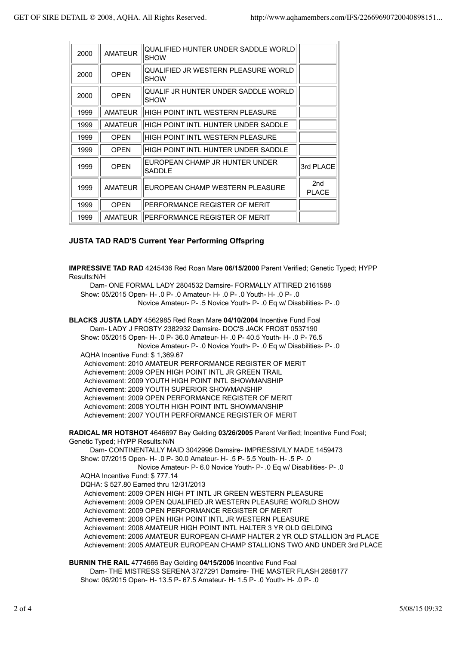| 2000 | <b>AMATEUR</b> | IQUALIFIED HUNTER UNDER SADDLE WORLD<br>ISHOW        |                                 |
|------|----------------|------------------------------------------------------|---------------------------------|
| 2000 | <b>OPEN</b>    | IQUALIFIED JR WESTERN PLEASURE WORLD<br><b>ISHOW</b> |                                 |
| 2000 | <b>OPEN</b>    | IQUALIF JR HUNTER UNDER SADDLE WORLD<br>ISHOW        |                                 |
| 1999 | <b>AMATEUR</b> | HIGH POINT INTL WESTERN PLEASURE                     |                                 |
| 1999 | <b>AMATEUR</b> | HIGH POINT INTL HUNTER UNDER SADDLE                  |                                 |
| 1999 | <b>OPEN</b>    | IHIGH POINT INTL WESTERN PLEASURE                    |                                 |
| 1999 | <b>OPEN</b>    | HIGH POINT INTL HUNTER UNDER SADDLE                  |                                 |
| 1999 | OPFN           | EUROPEAN CHAMP JR HUNTER UNDER<br><b>SADDLE</b>      | 3rd PLACE                       |
| 1999 | AMATEUR        | EUROPEAN CHAMP WESTERN PLEASURE                      | 2 <sub>nd</sub><br><b>PLACE</b> |
| 1999 | <b>OPEN</b>    | <b>IPERFORMANCE REGISTER OF MERIT</b>                |                                 |
| 1999 | AMATEUR        | <b>PERFORMANCE REGISTER OF MERIT</b>                 |                                 |

### **JUSTA TAD RAD'S Current Year Performing Offspring**

**IMPRESSIVE TAD RAD** 4245436 Red Roan Mare **06/15/2000** Parent Verified; Genetic Typed; HYPP Results:N/H

 Dam- ONE FORMAL LADY 2804532 Damsire- FORMALLY ATTIRED 2161588 Show: 05/2015 Open- H- .0 P- .0 Amateur- H- .0 P- .0 Youth- H- .0 P- .0 Novice Amateur- P- .5 Novice Youth- P- .0 Eq w/ Disabilities- P- .0

**BLACKS JUSTA LADY** 4562985 Red Roan Mare **04/10/2004** Incentive Fund Foal Dam- LADY J FROSTY 2382932 Damsire- DOC'S JACK FROST 0537190 Show: 05/2015 Open- H- .0 P- 36.0 Amateur- H- .0 P- 40.5 Youth- H- .0 P- 76.5 Novice Amateur- P- .0 Novice Youth- P- .0 Eq w/ Disabilities- P- .0 AQHA Incentive Fund: \$ 1,369.67

 Achievement: 2010 AMATEUR PERFORMANCE REGISTER OF MERIT Achievement: 2009 OPEN HIGH POINT INTL JR GREEN TRAIL Achievement: 2009 YOUTH HIGH POINT INTL SHOWMANSHIP Achievement: 2009 YOUTH SUPERIOR SHOWMANSHIP Achievement: 2009 OPEN PERFORMANCE REGISTER OF MERIT Achievement: 2008 YOUTH HIGH POINT INTL SHOWMANSHIP Achievement: 2007 YOUTH PERFORMANCE REGISTER OF MERIT

**RADICAL MR HOTSHOT** 4646697 Bay Gelding **03/26/2005** Parent Verified; Incentive Fund Foal; Genetic Typed; HYPP Results:N/N

 Dam- CONTINENTALLY MAID 3042996 Damsire- IMPRESSIVILY MADE 1459473 Show: 07/2015 Open- H- .0 P- 30.0 Amateur- H- .5 P- 5.5 Youth- H- .5 P- .0 Novice Amateur- P- 6.0 Novice Youth- P- .0 Eq w/ Disabilities- P- .0 AQHA Incentive Fund: \$ 777.14 DQHA: \$ 527.80 Earned thru 12/31/2013 Achievement: 2009 OPEN HIGH PT INTL JR GREEN WESTERN PLEASURE Achievement: 2009 OPEN QUALIFIED JR WESTERN PLEASURE WORLD SHOW Achievement: 2009 OPEN PERFORMANCE REGISTER OF MERIT Achievement: 2008 OPEN HIGH POINT INTL JR WESTERN PLEASURE Achievement: 2008 AMATEUR HIGH POINT INTL HALTER 3 YR OLD GELDING Achievement: 2006 AMATEUR EUROPEAN CHAMP HALTER 2 YR OLD STALLION 3rd PLACE Achievement: 2005 AMATEUR EUROPEAN CHAMP STALLIONS TWO AND UNDER 3rd PLACE

**BURNIN THE RAIL** 4774666 Bay Gelding **04/15/2006** Incentive Fund Foal Dam- THE MISTRESS SERENA 3727291 Damsire- THE MASTER FLASH 2858177 Show: 06/2015 Open- H- 13.5 P- 67.5 Amateur- H- 1.5 P- .0 Youth- H- .0 P- .0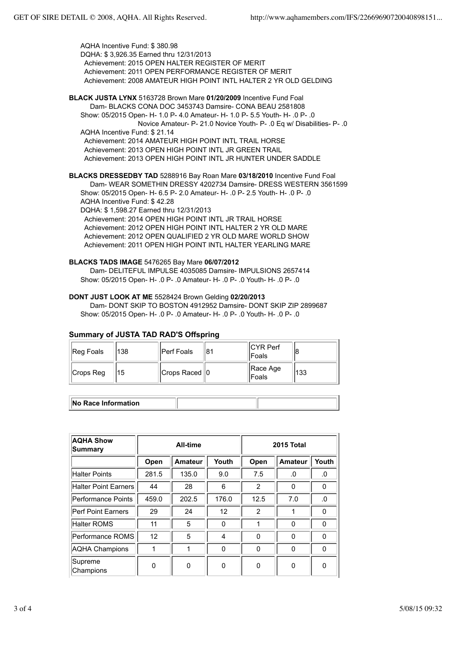AQHA Incentive Fund: \$ 380.98 DQHA: \$ 3,926.35 Earned thru 12/31/2013 Achievement: 2015 OPEN HALTER REGISTER OF MERIT Achievement: 2011 OPEN PERFORMANCE REGISTER OF MERIT Achievement: 2008 AMATEUR HIGH POINT INTL HALTER 2 YR OLD GELDING

## **BLACK JUSTA LYNX** 5163728 Brown Mare **01/20/2009** Incentive Fund Foal

 Dam- BLACKS CONA DOC 3453743 Damsire- CONA BEAU 2581808 Show: 05/2015 Open- H- 1.0 P- 4.0 Amateur- H- 1.0 P- 5.5 Youth- H- .0 P- .0 Novice Amateur- P- 21.0 Novice Youth- P- .0 Eq w/ Disabilities- P- .0 AQHA Incentive Fund: \$ 21.14 Achievement: 2014 AMATEUR HIGH POINT INTL TRAIL HORSE Achievement: 2013 OPEN HIGH POINT INTL JR GREEN TRAIL Achievement: 2013 OPEN HIGH POINT INTL JR HUNTER UNDER SADDLE

### **BLACKS DRESSEDBY TAD** 5288916 Bay Roan Mare **03/18/2010** Incentive Fund Foal

 Dam- WEAR SOMETHIN DRESSY 4202734 Damsire- DRESS WESTERN 3561599 Show: 05/2015 Open- H- 6.5 P- 2.0 Amateur- H- .0 P- 2.5 Youth- H- .0 P- .0 AQHA Incentive Fund: \$ 42.28 DQHA: \$ 1,598.27 Earned thru 12/31/2013

 Achievement: 2014 OPEN HIGH POINT INTL JR TRAIL HORSE Achievement: 2012 OPEN HIGH POINT INTL HALTER 2 YR OLD MARE Achievement: 2012 OPEN QUALIFIED 2 YR OLD MARE WORLD SHOW Achievement: 2011 OPEN HIGH POINT INTL HALTER YEARLING MARE

#### **BLACKS TADS IMAGE** 5476265 Bay Mare **06/07/2012**

 Dam- DELITEFUL IMPULSE 4035085 Damsire- IMPULSIONS 2657414 Show: 05/2015 Open- H- .0 P- .0 Amateur- H- .0 P- .0 Youth- H- .0 P- .0

### **DONT JUST LOOK AT ME** 5528424 Brown Gelding **02/20/2013**

 Dam- DONT SKIP TO BOSTON 4912952 Damsire- DONT SKIP ZIP 2899687 Show: 05/2015 Open- H- .0 P- .0 Amateur- H- .0 P- .0 Youth- H- .0 P- .0

| Reg Foals  | 1138 | <b>IPerf Foals</b>         | 181 | ICYR Perf<br><b>IFoals</b> | 18   |
|------------|------|----------------------------|-----|----------------------------|------|
| ∣Crops Reg | 115  | $ Crops$ Raced $ 0\rangle$ |     | Race Age<br><b>IFoals</b>  | 1133 |

### **Summary of JUSTA TAD RAD'S Offspring**

| .  . <b>. .</b><br>ווטו<br>יישייייישעווייש |  |
|--------------------------------------------|--|
|                                            |  |

| <b>AQHA Show</b><br>Summary | All-time |                | 2015 Total |                |                |          |
|-----------------------------|----------|----------------|------------|----------------|----------------|----------|
|                             | Open     | <b>Amateur</b> | Youth      | Open           | <b>Amateur</b> | Youth    |
| <b>Halter Points</b>        | 281.5    | 135.0          | 9.0        | 7.5            | .0             | .0       |
| Halter Point Earners        | 44       | 28             | 6          | $\overline{2}$ | 0              | $\Omega$ |
| Performance Points          | 459.0    | 202.5          | 176.0      | 12.5           | 7.0            | $\Omega$ |
| <b>IPerf Point Earners</b>  | 29       | 24             | 12         | $\overline{2}$ |                | $\Omega$ |
| <b>Halter ROMS</b>          | 11       | 5              | 0          |                | 0              | $\Omega$ |
| Performance ROMS            | 12       | 5              | 4          | 0              | 0              | $\Omega$ |
| <b>AQHA Champions</b>       |          |                | 0          | 0              | 0              | O        |
| Supreme<br>Champions        | 0        | 0              | 0          | 0              | 0              | ŋ        |